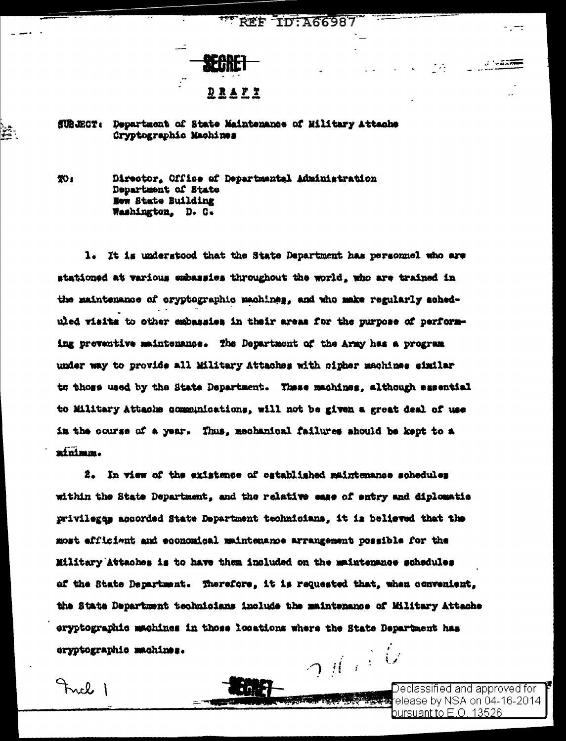## **REF ID: A66987**



## SUBJECT: Department of State Maintenance of Military Attache Cryptographic Machines

TO:

Frick 1

ζ.

Director, Office of Departmental Administration Department of State New State Building Washington, D. C.

1. It is understood that the State Department has personnel who are stationed at various embassies throughout the world, who are trained in the maintenance of cryptographic machines, and who make regularly scheduled visits to other embassies in their areas for the purpose of performing preventive maintenance. The Department of the Army has a program under way to provide all Military Attaches with cipher machines similar to those used by the State Department. These machines, although essential to Military Attache communications, will not be given a great deal of use in the course of a year. Thus, mechanical failures should be kept to a minimum.

2. In view of the existence of established maintenance schedules within the State Department, and the relative ease of entry and diplomatio privilegas accorded State Department technicians, it is believed that the most efficient and economical maintenance arrangement possible for the Military Attaches is to have them included on the maintenance schedules of the State Department. Therefore, it is requested that, when convenient, the State Department technicians include the maintenance of Military Attache eryptographic machines in those locations where the State Department has  $\gamma$  (  $\beta$  ) eryptographic machines.

> Declassified and approved for <del>ইংশঃয়া</del>elease by NSA on 04-16-2014 bursuant to E.O. 13526  $\,$

- --

್ನುವಿಡ